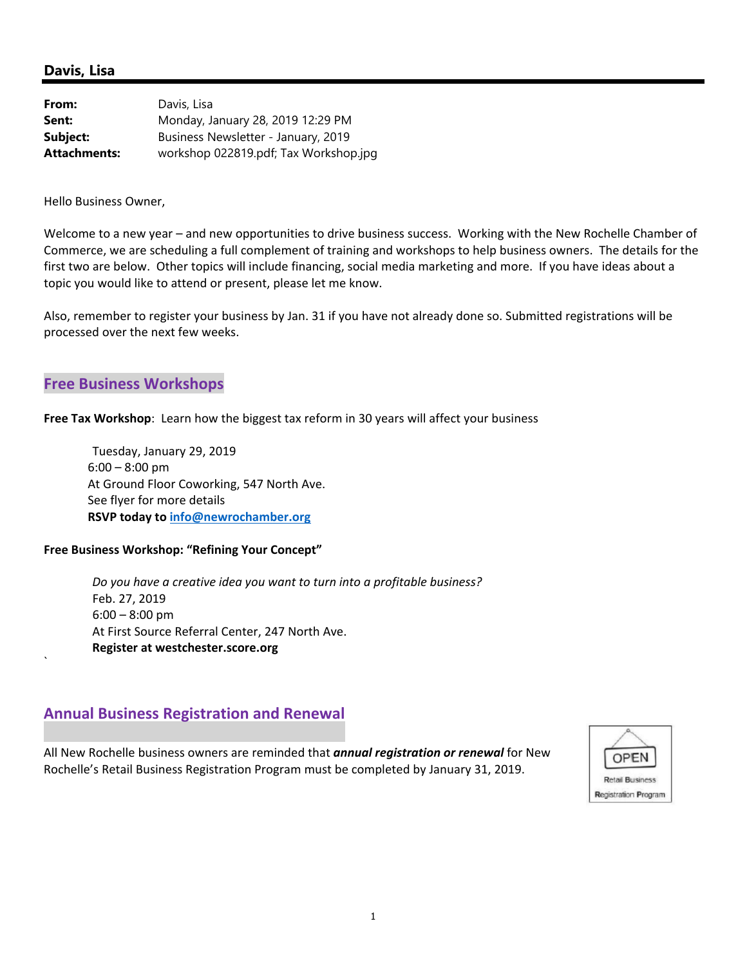#### **Davis, Lisa**

| From:               | Davis, Lisa                           |
|---------------------|---------------------------------------|
| Sent:               | Monday, January 28, 2019 12:29 PM     |
| Subject:            | Business Newsletter - January, 2019   |
| <b>Attachments:</b> | workshop 022819.pdf; Tax Workshop.jpg |

Hello Business Owner,

Welcome to a new year – and new opportunities to drive business success. Working with the New Rochelle Chamber of Commerce, we are scheduling a full complement of training and workshops to help business owners. The details for the first two are below. Other topics will include financing, social media marketing and more. If you have ideas about a topic you would like to attend or present, please let me know.

Also, remember to register your business by Jan. 31 if you have not already done so. Submitted registrations will be processed over the next few weeks.

#### **Free Business Workshops**

`

**Free Tax Workshop**: Learn how the biggest tax reform in 30 years will affect your business

 Tuesday, January 29, 2019 6:00 – 8:00 pm At Ground Floor Coworking, 547 North Ave. See flyer for more details **RSVP today to info@newrochamber.org**

#### **Free Business Workshop: "Refining Your Concept"**

 *Do you have a creative idea you want to turn into a profitable business?*  Feb. 27, 2019 6:00 – 8:00 pm At First Source Referral Center, 247 North Ave. **Register at westchester.score.org** 

#### **Annual Business Registration and Renewal**

All New Rochelle business owners are reminded that *annual registration or renewal* for New Rochelle's Retail Business Registration Program must be completed by January 31, 2019.

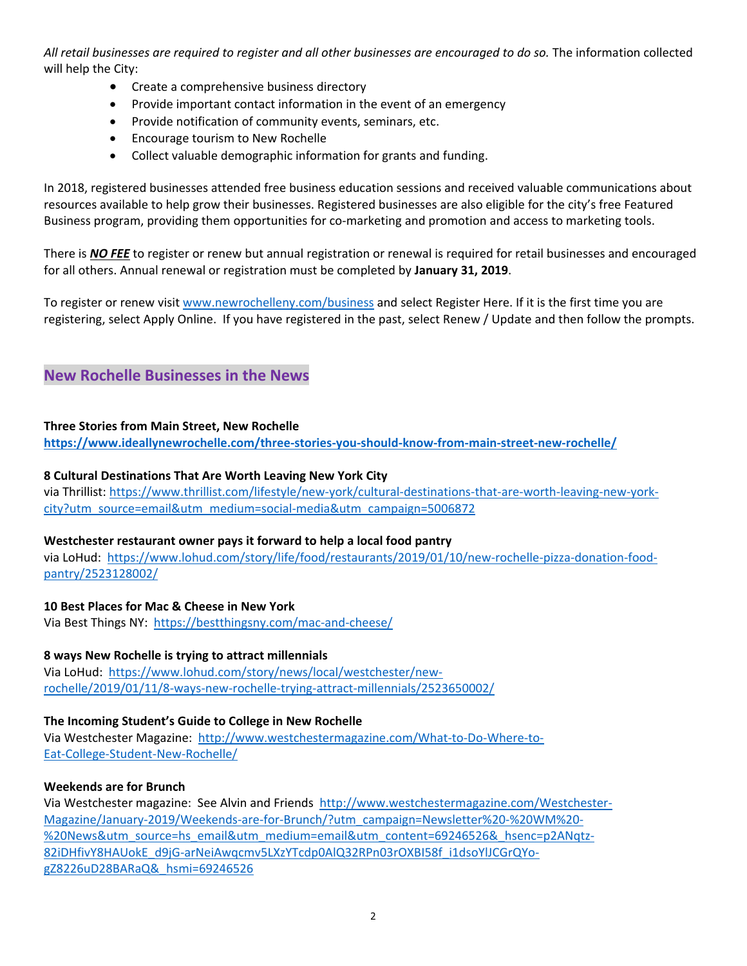*All retail businesses are required to register and all other businesses are encouraged to do so.* The information collected will help the City:

- Create a comprehensive business directory
- Provide important contact information in the event of an emergency
- Provide notification of community events, seminars, etc.
- Encourage tourism to New Rochelle
- Collect valuable demographic information for grants and funding.

In 2018, registered businesses attended free business education sessions and received valuable communications about resources available to help grow their businesses. Registered businesses are also eligible for the city's free Featured Business program, providing them opportunities for co-marketing and promotion and access to marketing tools.

There is *NO FEE* to register or renew but annual registration or renewal is required for retail businesses and encouraged for all others. Annual renewal or registration must be completed by **January 31, 2019**.

To register or renew visit www.newrochelleny.com/business and select Register Here. If it is the first time you are registering, select Apply Online. If you have registered in the past, select Renew / Update and then follow the prompts.

#### **New Rochelle Businesses in the News**

#### **Three Stories from Main Street, New Rochelle**

**https://www.ideallynewrochelle.com/three‐stories‐you‐should‐know‐from‐main‐street‐new‐rochelle/**

#### **8 Cultural Destinations That Are Worth Leaving New York City**

via Thrillist: https://www.thrillist.com/lifestyle/new‐york/cultural‐destinations‐that‐are‐worth‐leaving‐new‐york‐ city?utm\_source=email&utm\_medium=social‐media&utm\_campaign=5006872

#### **Westchester restaurant owner pays it forward to help a local food pantry**

via LoHud: https://www.lohud.com/story/life/food/restaurants/2019/01/10/new‐rochelle‐pizza‐donation‐food‐ pantry/2523128002/

#### **10 Best Places for Mac & Cheese in New York**

Via Best Things NY: https://bestthingsny.com/mac-and-cheese/

#### **8 ways New Rochelle is trying to attract millennials**

Via LoHud: https://www.lohud.com/story/news/local/westchester/new‐ rochelle/2019/01/11/8‐ways‐new‐rochelle‐trying‐attract‐millennials/2523650002/

#### **The Incoming Student's Guide to College in New Rochelle**

Via Westchester Magazine: http://www.westchestermagazine.com/What-to-Do-Where-to-Eat‐College‐Student‐New‐Rochelle/

#### **Weekends are for Brunch**

Via Westchester magazine: See Alvin and Friends http://www.westchestermagazine.com/Westchester‐ Magazine/January-2019/Weekends-are-for-Brunch/?utm\_campaign=Newsletter%20-%20WM%20-%20News&utm\_source=hs\_email&utm\_medium=email&utm\_content=69246526&\_hsenc=p2ANqtz-82iDHfivY8HAUokE\_d9jG-arNeiAwqcmv5LXzYTcdp0AlQ32RPn03rOXBI58f\_i1dsoYlJCGrQYogZ8226uD28BARaQ&\_hsmi=69246526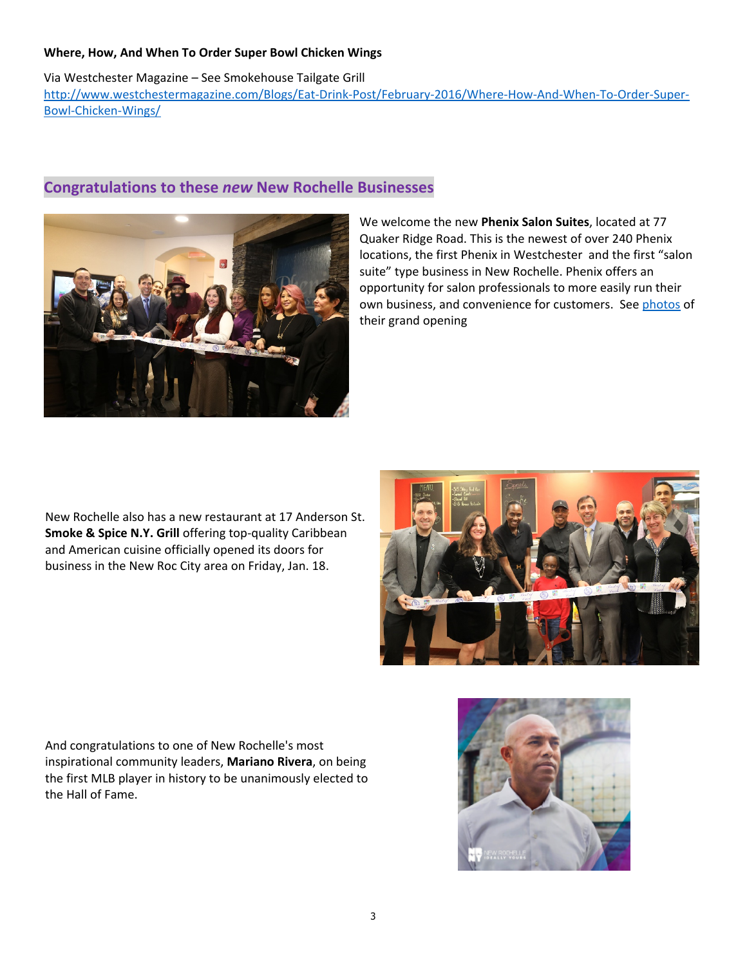#### **Where, How, And When To Order Super Bowl Chicken Wings**

Via Westchester Magazine – See Smokehouse Tailgate Grill http://www.westchestermagazine.com/Blogs/Eat-Drink-Post/February-2016/Where-How-And-When-To-Order-Super-Bowl‐Chicken‐Wings/



#### **Congratulations to these** *new* **New Rochelle Businesses**

We welcome the new **Phenix Salon Suites**, located at 77 Quaker Ridge Road. This is the newest of over 240 Phenix locations, the first Phenix in Westchester and the first "salon suite" type business in New Rochelle. Phenix offers an opportunity for salon professionals to more easily run their own business, and convenience for customers. See photos of their grand opening

New Rochelle also has a new restaurant at 17 Anderson St. **Smoke & Spice N.Y. Grill** offering top‐quality Caribbean and American cuisine officially opened its doors for business in the New Roc City area on Friday, Jan. 18.



And congratulations to one of New Rochelle's most inspirational community leaders, **Mariano Rivera**, on being the first MLB player in history to be unanimously elected to the Hall of Fame.

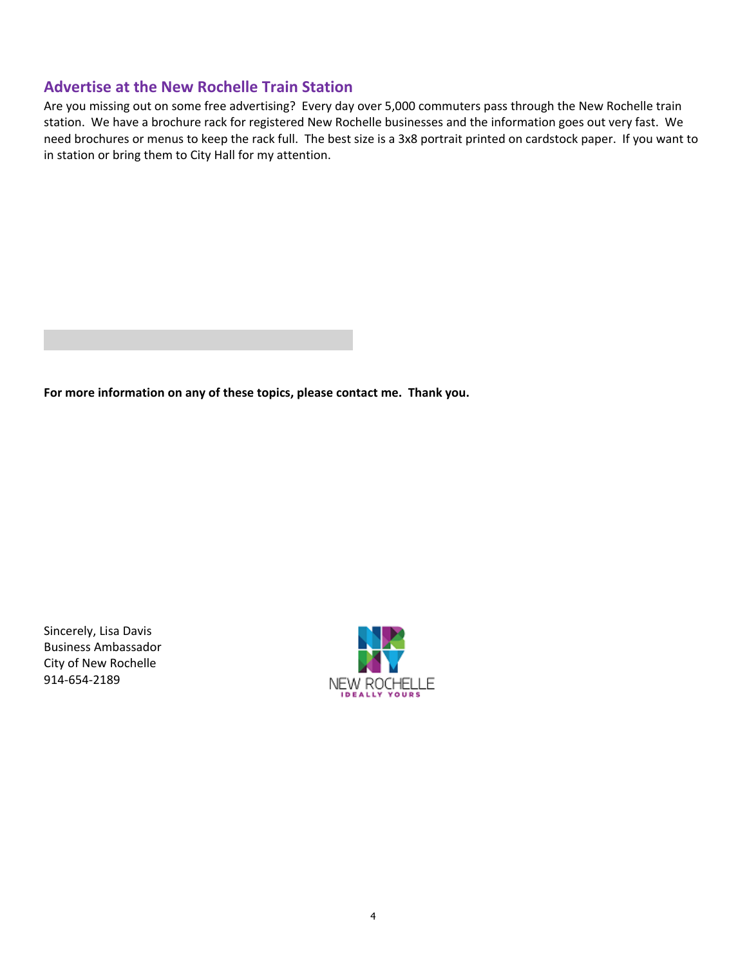#### **Advertise at the New Rochelle Train Station**

Are you missing out on some free advertising? Every day over 5,000 commuters pass through the New Rochelle train station. We have a brochure rack for registered New Rochelle businesses and the information goes out very fast. We need brochures or menus to keep the rack full. The best size is a 3x8 portrait printed on cardstock paper. If you want to in station or bring them to City Hall for my attention.

**For more information on any of these topics, please contact me. Thank you.** 

Sincerely, Lisa Davis Business Ambassador City of New Rochelle 914‐654‐2189

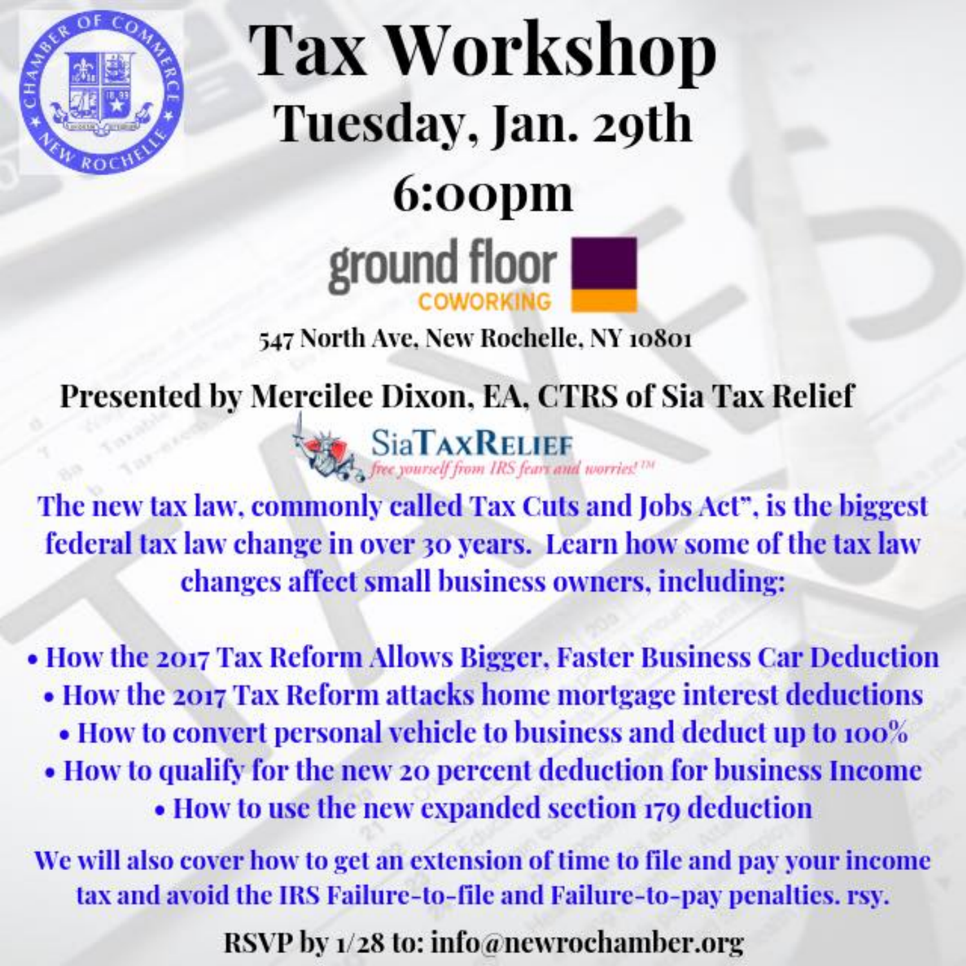

# **Tax Workshop** Tuesday, Jan. 29th 6:00pm ground floor

### 547 North Ave, New Rochelle, NY 10801

# **Presented by Mercilee Dixon, EA, CTRS of Sia Tax Relief**



The new tax law, commonly called Tax Cuts and Jobs Act", is the biggest federal tax law change in over 30 years. Learn how some of the tax law changes affect small business owners, including:

• How the 2017 Tax Reform Allows Bigger, Faster Business Car Deduction

- How the 2017 Tax Reform attacks home mortgage interest deductions
	- How to convert personal vehicle to business and deduct up to 100%
- How to qualify for the new 20 percent deduction for business Income • How to use the new expanded section 179 deduction

We will also cover how to get an extension of time to file and pay your income tax and avoid the IRS Failure-to-file and Failure-to-pay penalties. rsy.

RSVP by 1/28 to: info@newrochamber.org